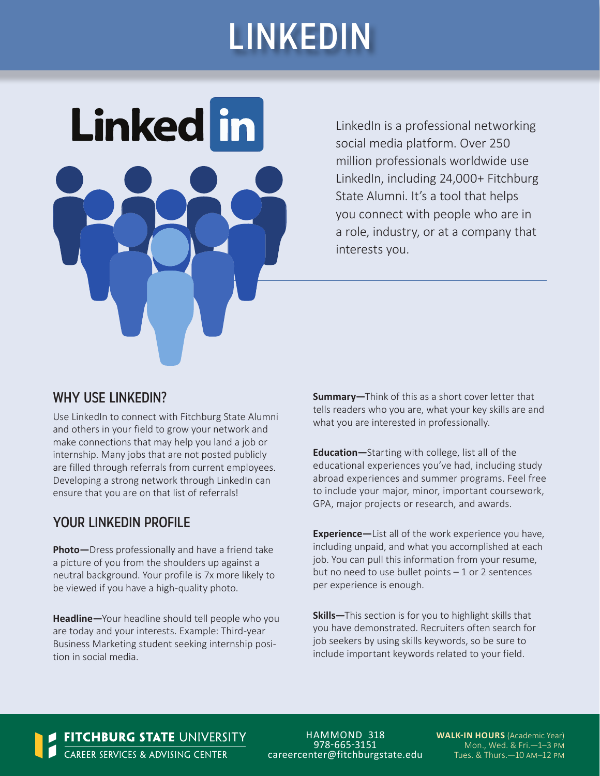# LINKEDIN



LinkedIn is a professional networking social media platform. Over 250 million professionals worldwide use LinkedIn, including 24,000+ Fitchburg State Alumni. It's a tool that helps you connect with people who are in a role, industry, or at a company that interests you.

#### WHY USE LINKEDIN?

Use LinkedIn to connect with Fitchburg State Alumni and others in your field to grow your network and make connections that may help you land a job or internship. Many jobs that are not posted publicly are filled through referrals from current employees. Developing a strong network through LinkedIn can ensure that you are on that list of referrals!

#### YOUR LINKEDIN PROFILE

**Photo—**Dress professionally and have a friend take a picture of you from the shoulders up against a neutral background. Your profile is 7x more likely to be viewed if you have a high-quality photo.

**Headline—**Your headline should tell people who you are today and your interests. Example: Third-year Business Marketing student seeking internship position in social media.

**Summary—**Think of this as a short cover letter that tells readers who you are, what your key skills are and what you are interested in professionally.

**Education—**Starting with college, list all of the educational experiences you've had, including study abroad experiences and summer programs. Feel free to include your major, minor, important coursework, GPA, major projects or research, and awards.

**Experience—**List all of the work experience you have, including unpaid, and what you accomplished at each job. You can pull this information from your resume, but no need to use bullet points – 1 or 2 sentences per experience is enough.

**Skills—**This section is for you to highlight skills that you have demonstrated. Recruiters often search for job seekers by using skills keywords, so be sure to include important keywords related to your field.

**FITCHBURG STATE** UNIVERSITY<br>**1** CAREER SERVICES & ADVISING CENTER

HAMMOND 318 978-665-3151 careercenter@fitchburgstate.edu **WALK-IN HOURS** (Academic Year) Mon., Wed. & Fri.—1–3 pm Tues. & Thurs.—10 am–12 pm